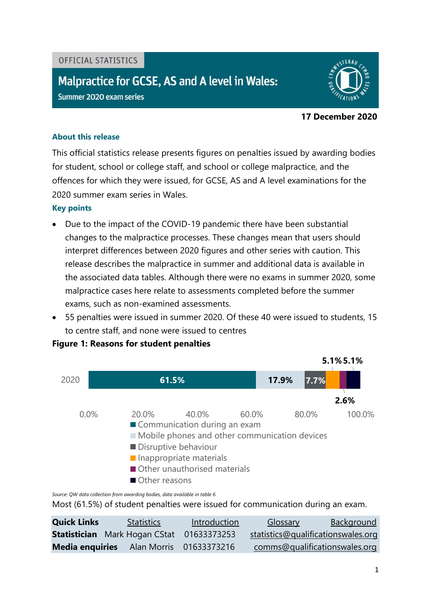#### OFFICIAL STATISTICS

# Malpractice for GCSE, AS and A level in Wales:

Summer 2020 exam series



#### **17 December 2020**

#### **About this release**

This official statistics release presents figures on penalties issued by awarding bodies for student, school or college staff, and school or college malpractice, and the offences for which they were issued, for GCSE, AS and A level examinations for the 2020 summer exam series in Wales.

#### **Key points**

- Due to the impact of the COVID-19 pandemic there have been substantial changes to the malpractice processes. These changes mean that users should interpret differences between 2020 figures and other series with caution. This release describes the malpractice in summer and additional data is available in the associated data tables. Although there were no exams in summer 2020, some malpractice cases here relate to assessments completed before the summer exams, such as non-examined assessments.
- 55 penalties were issued in summer 2020. Of these 40 were issued to students, 15 to centre staff, and none were issued to centres



## **Figure 1: Reasons for student penalties**

*Source: QW data collection from awarding bodies, data available in table 6*

Most (61.5%) of student penalties were issued for communication during an exam.

<span id="page-0-0"></span>

| <b>Quick Links</b> | <b>Statistics</b>                                | Introduction | <b>Glossary</b>                    | Background |
|--------------------|--------------------------------------------------|--------------|------------------------------------|------------|
|                    | <b>Statistician</b> Mark Hogan CStat 01633373253 |              | statistics@qualificationswales.org |            |
|                    | Media enquiries Alan Morris 01633373216          |              | comms@qualificationswales.org      |            |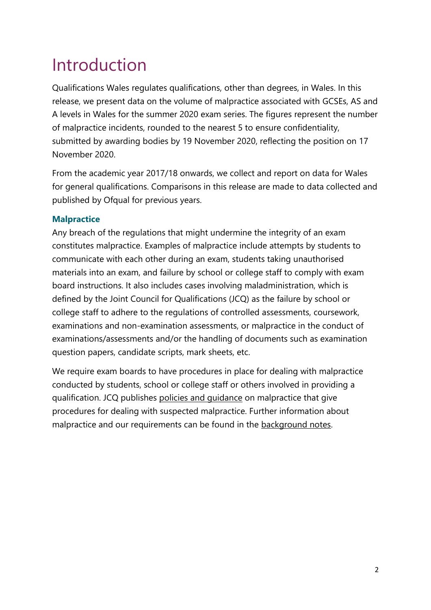# Introduction

Qualifications Wales regulates qualifications, other than degrees, in Wales. In this release, we present data on the volume of malpractice associated with GCSEs, AS and A levels in Wales for the summer 2020 exam series. The figures represent the number of malpractice incidents, rounded to the nearest 5 to ensure confidentiality, submitted by awarding bodies by 19 November 2020, reflecting the position on 17 November 2020.

From the academic year 2017/18 onwards, we collect and report on data for Wales for general qualifications. Comparisons in this release are made to data collected and published by Ofqual for previous years.

# **Malpractice**

Any breach of the regulations that might undermine the integrity of an exam constitutes malpractice. Examples of malpractice include attempts by students to communicate with each other during an exam, students taking unauthorised materials into an exam, and failure by school or college staff to comply with exam board instructions. It also includes cases involving maladministration, which is defined by the Joint Council for Qualifications (JCQ) as the failure by school or college staff to adhere to the regulations of controlled assessments, coursework, examinations and non-examination assessments, or malpractice in the conduct of examinations/assessments and/or the handling of documents such as examination question papers, candidate scripts, mark sheets, etc.

We require exam boards to have procedures in place for dealing with malpractice conducted by students, school or college staff or others involved in providing a qualification. JCQ publishes [policies and guidance](https://www.jcq.org.uk/exams-office/malpractice) on malpractice that give procedures for dealing with suspected malpractice. Further information about malpractice and our requirements can be found in the [background notes.](#page-8-0)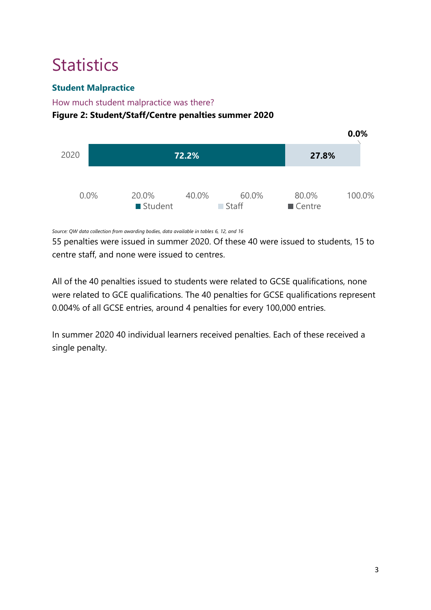# <span id="page-2-0"></span>**Statistics**

# **Student Malpractice**

# How much student malpractice was there?

# **Figure 2: Student/Staff/Centre penalties summer 2020**



*Source: QW data collection from awarding bodies, data available in tables 6, 12, and 16*

55 penalties were issued in summer 2020. Of these 40 were issued to students, 15 to centre staff, and none were issued to centres.

All of the 40 penalties issued to students were related to GCSE qualifications, none were related to GCE qualifications. The 40 penalties for GCSE qualifications represent 0.004% of all GCSE entries, around 4 penalties for every 100,000 entries.

In summer 2020 40 individual learners received penalties. Each of these received a single penalty.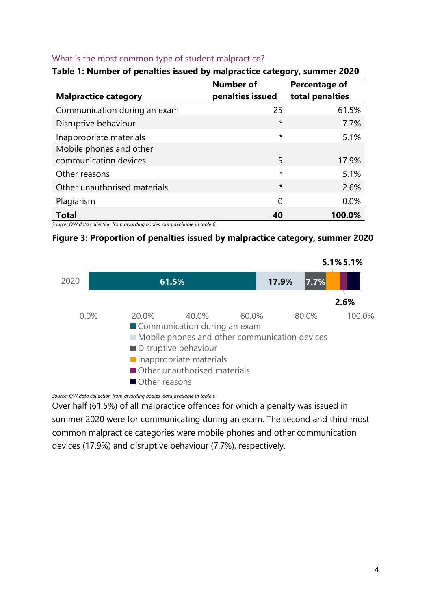#### What is the most common type of student malpractice?

| <b>Malpractice category</b>                                                | <b>Number of</b><br>penalties issued | Percentage of<br>total penalties |  |  |
|----------------------------------------------------------------------------|--------------------------------------|----------------------------------|--|--|
| Communication during an exam                                               | 25                                   | 61.5%                            |  |  |
| Disruptive behaviour                                                       | $\star$                              | 7.7%                             |  |  |
| Inappropriate materials                                                    | $\star$                              | 5.1%                             |  |  |
| Mobile phones and other<br>communication devices                           | 5                                    | 17.9%                            |  |  |
| Other reasons                                                              | $\star$                              | 5.1%                             |  |  |
| Other unauthorised materials                                               | $\star$                              | 2.6%                             |  |  |
| Plagiarism                                                                 | 0                                    | $0.0\%$                          |  |  |
| <b>Total</b>                                                               | 40                                   | 100.0%                           |  |  |
| Source: QW data collection from awarding bodies, data available in table 6 |                                      |                                  |  |  |

#### **Table 1: Number of penalties issued by malpractice category, summer 2020**

**Figure 3: Proportion of penalties issued by malpractice category, summer 2020**



*Source: QW data collection from awarding bodies, data available in table 6*

Over half (61.5%) of all malpractice offences for which a penalty was issued in summer 2020 were for communicating during an exam. The second and third most common malpractice categories were mobile phones and other communication devices (17.9%) and disruptive behaviour (7.7%), respectively.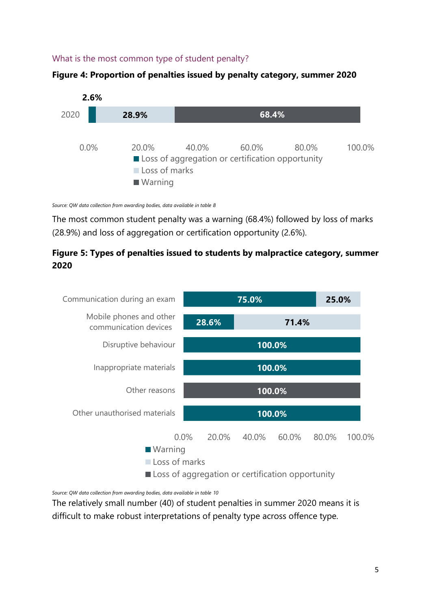## What is the most common type of student penalty?





*Source: QW data collection from awarding bodies, data available in table 8*

The most common student penalty was a warning (68.4%) followed by loss of marks (28.9%) and loss of aggregation or certification opportunity (2.6%).

# **Figure 5: Types of penalties issued to students by malpractice category, summer 2020**



*Source: QW data collection from awarding bodies, data available in table 10*

The relatively small number (40) of student penalties in summer 2020 means it is difficult to make robust interpretations of penalty type across offence type.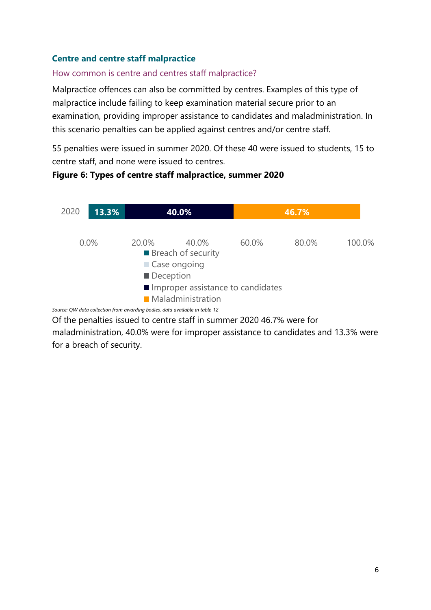# **Centre and centre staff malpractice**

#### How common is centre and centres staff malpractice?

**Figure 6: Types of centre staff malpractice, summer 2020**

Malpractice offences can also be committed by centres. Examples of this type of malpractice include failing to keep examination material secure prior to an examination, providing improper assistance to candidates and maladministration. In this scenario penalties can be applied against centres and/or centre staff.

55 penalties were issued in summer 2020. Of these 40 were issued to students, 15 to centre staff, and none were issued to centres.

# *Source: QW data collection from awarding bodies, data available in table 12* **13.3% 40.0% 46.7%** 0.0% 20.0% 40.0% 60.0% 80.0% 100.0% 2020 **Breach of security** Case ongoing Deception Improper assistance to candidates **Maladministration**

<span id="page-5-0"></span>Of the penalties issued to centre staff in summer 2020 46.7% were for maladministration, 40.0% were for improper assistance to candidates and 13.3% were for a breach of security.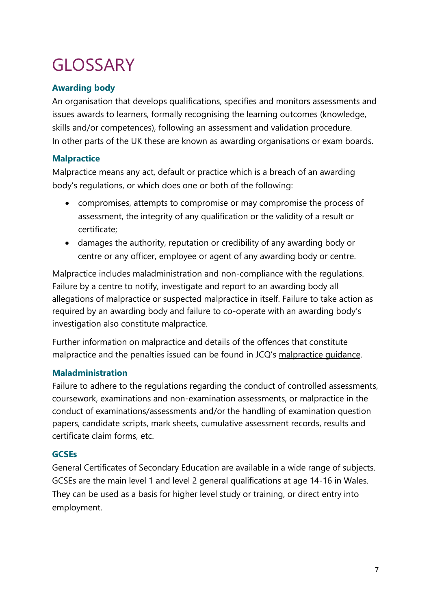# **GLOSSARY**

# **Awarding body**

An organisation that develops qualifications, specifies and monitors assessments and issues awards to learners, formally recognising the learning outcomes (knowledge, skills and/or competences), following an assessment and validation procedure. In other parts of the UK these are known as awarding organisations or exam boards.

# **Malpractice**

Malpractice means any act, default or practice which is a breach of an awarding body's regulations, or which does one or both of the following:

- compromises, attempts to compromise or may compromise the process of assessment, the integrity of any qualification or the validity of a result or certificate;
- damages the authority, reputation or credibility of any awarding body or centre or any officer, employee or agent of any awarding body or centre.

Malpractice includes maladministration and non-compliance with the regulations. Failure by a centre to notify, investigate and report to an awarding body all allegations of malpractice or suspected malpractice in itself. Failure to take action as required by an awarding body and failure to co-operate with an awarding body's investigation also constitute malpractice.

Further information on malpractice and details of the offences that constitute malpractice and the penalties issued can be found in JCQ's [malpractice guidance.](https://www.jcq.org.uk/exams-office/malpractice)

# **Maladministration**

Failure to adhere to the regulations regarding the conduct of controlled assessments, coursework, examinations and non-examination assessments, or malpractice in the conduct of examinations/assessments and/or the handling of examination question papers, candidate scripts, mark sheets, cumulative assessment records, results and certificate claim forms, etc.

## **GCSEs**

General Certificates of Secondary Education are available in a wide range of subjects. GCSEs are the main level 1 and level 2 general qualifications at age 14-16 in Wales. They can be used as a basis for higher level study or training, or direct entry into employment.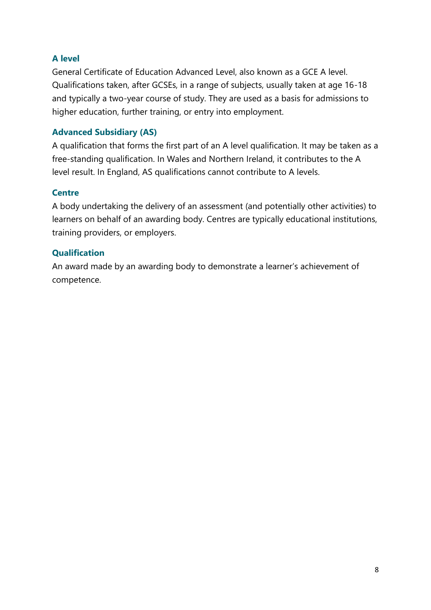# **A level**

General Certificate of Education Advanced Level, also known as a GCE A level. Qualifications taken, after GCSEs, in a range of subjects, usually taken at age 16-18 and typically a two-year course of study. They are used as a basis for admissions to higher education, further training, or entry into employment.

# **Advanced Subsidiary (AS)**

A qualification that forms the first part of an A level qualification. It may be taken as a free-standing qualification. In Wales and Northern Ireland, it contributes to the A level result. In England, AS qualifications cannot contribute to A levels.

## **Centre**

A body undertaking the delivery of an assessment (and potentially other activities) to learners on behalf of an awarding body. Centres are typically educational institutions, training providers, or employers.

# **Qualification**

An award made by an awarding body to demonstrate a learner's achievement of competence.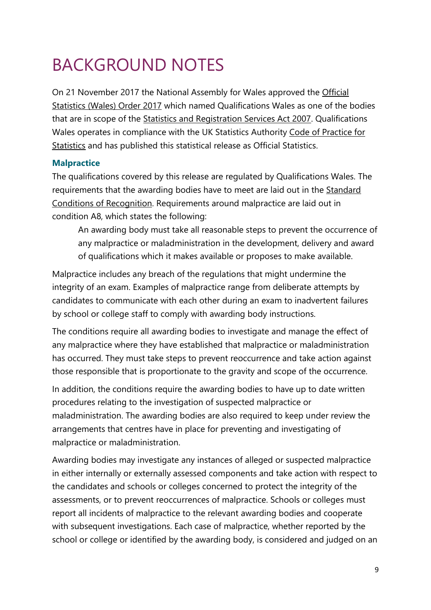# <span id="page-8-0"></span>BACKGROUND NOTES

On 21 November 2017 the National Assembly for Wales approved the [Official](http://www.legislation.gov.uk/wsi/2017/1142/pdfs/wsi_20171142_mi.pdf)  [Statistics \(Wales\) Order 2017](http://www.legislation.gov.uk/wsi/2017/1142/pdfs/wsi_20171142_mi.pdf) which named Qualifications Wales as one of the bodies that are in scope of the [Statistics and Registration Services Act 2007.](https://www.legislation.gov.uk/ukpga/2007/18/contents) Qualifications Wales operates in compliance with the UK Statistics Authority [Code of Practice for](https://www.statisticsauthority.gov.uk/code-of-practice/)  **[Statistics](https://www.statisticsauthority.gov.uk/code-of-practice/) and has published this statistical release as Official Statistics.** 

# **Malpractice**

The qualifications covered by this release are regulated by Qualifications Wales. The requirements that the awarding bodies have to meet are laid out in the [Standard](https://qualificationswales.org/english/our-work/our-regulatory-documents/conditions/) [Conditions of Recognition.](https://qualificationswales.org/english/our-work/our-regulatory-documents/conditions/) Requirements around malpractice are laid out in condition A8, which states the following:

An awarding body must take all reasonable steps to prevent the occurrence of any malpractice or maladministration in the development, delivery and award of qualifications which it makes available or proposes to make available.

Malpractice includes any breach of the regulations that might undermine the integrity of an exam. Examples of malpractice range from deliberate attempts by candidates to communicate with each other during an exam to inadvertent failures by school or college staff to comply with awarding body instructions.

The conditions require all awarding bodies to investigate and manage the effect of any malpractice where they have established that malpractice or maladministration has occurred. They must take steps to prevent reoccurrence and take action against those responsible that is proportionate to the gravity and scope of the occurrence.

In addition, the conditions require the awarding bodies to have up to date written procedures relating to the investigation of suspected malpractice or maladministration. The awarding bodies are also required to keep under review the arrangements that centres have in place for preventing and investigating of malpractice or maladministration.

Awarding bodies may investigate any instances of alleged or suspected malpractice in either internally or externally assessed components and take action with respect to the candidates and schools or colleges concerned to protect the integrity of the assessments, or to prevent reoccurrences of malpractice. Schools or colleges must report all incidents of malpractice to the relevant awarding bodies and cooperate with subsequent investigations. Each case of malpractice, whether reported by the school or college or identified by the awarding body, is considered and judged on an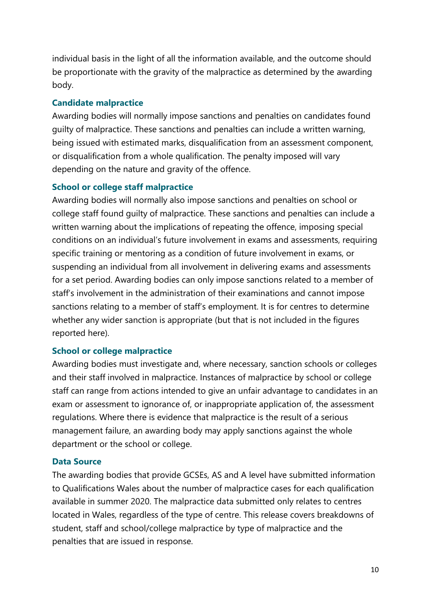individual basis in the light of all the information available, and the outcome should be proportionate with the gravity of the malpractice as determined by the awarding body.

#### **Candidate malpractice**

Awarding bodies will normally impose sanctions and penalties on candidates found guilty of malpractice. These sanctions and penalties can include a written warning, being issued with estimated marks, disqualification from an assessment component, or disqualification from a whole qualification. The penalty imposed will vary depending on the nature and gravity of the offence.

# **School or college staff malpractice**

Awarding bodies will normally also impose sanctions and penalties on school or college staff found guilty of malpractice. These sanctions and penalties can include a written warning about the implications of repeating the offence, imposing special conditions on an individual's future involvement in exams and assessments, requiring specific training or mentoring as a condition of future involvement in exams, or suspending an individual from all involvement in delivering exams and assessments for a set period. Awarding bodies can only impose sanctions related to a member of staff's involvement in the administration of their examinations and cannot impose sanctions relating to a member of staff's employment. It is for centres to determine whether any wider sanction is appropriate (but that is not included in the figures reported here).

## **School or college malpractice**

Awarding bodies must investigate and, where necessary, sanction schools or colleges and their staff involved in malpractice. Instances of malpractice by school or college staff can range from actions intended to give an unfair advantage to candidates in an exam or assessment to ignorance of, or inappropriate application of, the assessment regulations. Where there is evidence that malpractice is the result of a serious management failure, an awarding body may apply sanctions against the whole department or the school or college.

## **Data Source**

The awarding bodies that provide GCSEs, AS and A level have submitted information to Qualifications Wales about the number of malpractice cases for each qualification available in summer 2020. The malpractice data submitted only relates to centres located in Wales, regardless of the type of centre. This release covers breakdowns of student, staff and school/college malpractice by type of malpractice and the penalties that are issued in response.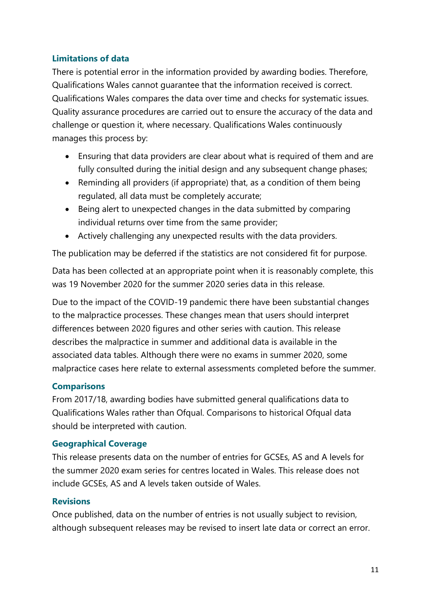# **Limitations of data**

There is potential error in the information provided by awarding bodies. Therefore, Qualifications Wales cannot guarantee that the information received is correct. Qualifications Wales compares the data over time and checks for systematic issues. Quality assurance procedures are carried out to ensure the accuracy of the data and challenge or question it, where necessary. Qualifications Wales continuously manages this process by:

- Ensuring that data providers are clear about what is required of them and are fully consulted during the initial design and any subsequent change phases;
- Reminding all providers (if appropriate) that, as a condition of them being regulated, all data must be completely accurate;
- Being alert to unexpected changes in the data submitted by comparing individual returns over time from the same provider;
- Actively challenging any unexpected results with the data providers.

The publication may be deferred if the statistics are not considered fit for purpose.

Data has been collected at an appropriate point when it is reasonably complete, this was 19 November 2020 for the summer 2020 series data in this release.

Due to the impact of the COVID-19 pandemic there have been substantial changes to the malpractice processes. These changes mean that users should interpret differences between 2020 figures and other series with caution. This release describes the malpractice in summer and additional data is available in the associated data tables. Although there were no exams in summer 2020, some malpractice cases here relate to external assessments completed before the summer.

## **Comparisons**

From 2017/18, awarding bodies have submitted general qualifications data to Qualifications Wales rather than Ofqual. Comparisons to historical Ofqual data should be interpreted with caution.

## **Geographical Coverage**

This release presents data on the number of entries for GCSEs, AS and A levels for the summer 2020 exam series for centres located in Wales. This release does not include GCSEs, AS and A levels taken outside of Wales.

## **Revisions**

Once published, data on the number of entries is not usually subject to revision, although subsequent releases may be revised to insert late data or correct an error.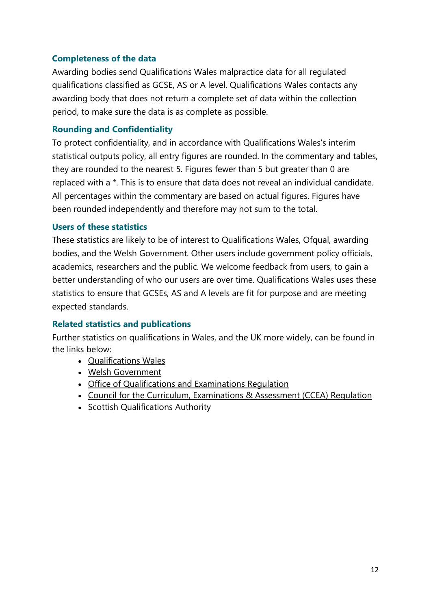# **Completeness of the data**

Awarding bodies send Qualifications Wales malpractice data for all regulated qualifications classified as GCSE, AS or A level. Qualifications Wales contacts any awarding body that does not return a complete set of data within the collection period, to make sure the data is as complete as possible.

# **Rounding and Confidentiality**

To protect confidentiality, and in accordance with Qualifications Wales's interim statistical outputs policy, all entry figures are rounded. In the commentary and tables, they are rounded to the nearest 5. Figures fewer than 5 but greater than 0 are replaced with a \*. This is to ensure that data does not reveal an individual candidate. All percentages within the commentary are based on actual figures. Figures have been rounded independently and therefore may not sum to the total.

## **Users of these statistics**

These statistics are likely to be of interest to Qualifications Wales, Ofqual, awarding bodies, and the Welsh Government. Other users include government policy officials, academics, researchers and the public. We welcome feedback from users, to gain a better understanding of who our users are over time. Qualifications Wales uses these statistics to ensure that GCSEs, AS and A levels are fit for purpose and are meeting expected standards.

## **Related statistics and publications**

Further statistics on qualifications in Wales, and the UK more widely, can be found in the links below:

- [Qualifications Wales](https://qualificationswales.org/english/our-work/research-and-statistics/)
- [Welsh Government](https://gov.wales/statistics-and-research?lang=en)
- [Office of Qualifications and Examinations Regulation](https://www.gov.uk/search/research-and-statistics?organisations%5B%5D=ofqual&parent=ofqual)
- [Council for the Curriculum, Examinations & Assessment \(CCEA\) Regulation](https://ccea.org.uk/regulation/reports-statistics/statistics-release-calendar)
- [Scottish Qualifications Authority](https://www.sqa.org.uk/sqa/48269.8311.html)